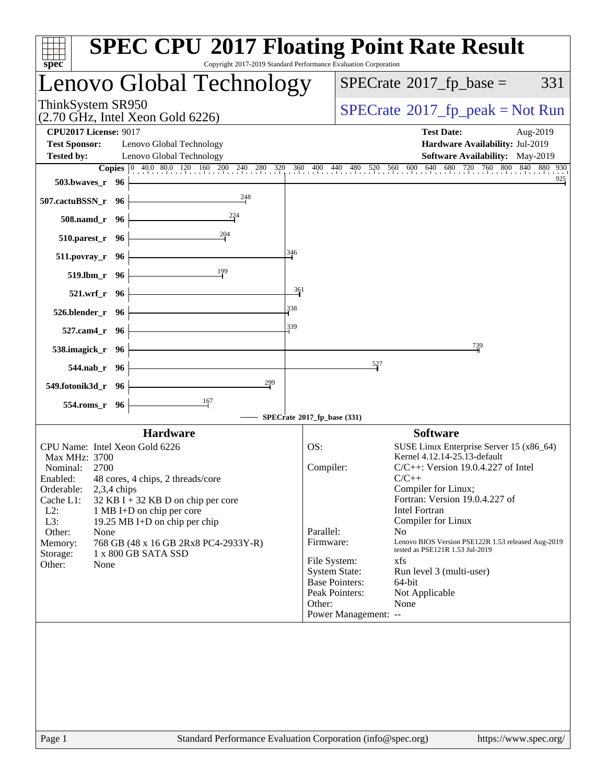| ThinkSystem SR950<br>$SPECrate^{\circ}2017$ [p_peak = Not Run<br>$(2.70 \text{ GHz}, \text{Intel Xeon Gold } 6226)$<br><b>CPU2017 License: 9017</b><br><b>Test Date:</b><br>Aug-2019<br><b>Test Sponsor:</b><br>Lenovo Global Technology<br>Hardware Availability: Jul-2019<br>Software Availability: May-2019<br><b>Tested by:</b><br>Lenovo Global Technology<br>925<br>503.bwaves_r 96<br>248<br>507.cactuBSSN_r 96<br>508.namd_r 96<br>$510.parest_r$ 96<br>346<br>511.povray_r 96<br>519.lbm_r 96<br>361<br>521.wrf_r 96<br>338<br>526.blender_r 96<br>339<br>527.cam4_r 96<br>739<br>538.imagick_r 96<br>527<br>544.nab_r 96<br>299<br>549.fotonik3d_r 96<br>$\frac{167}{2}$<br>554.roms_r 96<br>SPECrate®2017_fp_base (331)<br><b>Software</b><br><b>Hardware</b><br>CPU Name: Intel Xeon Gold 6226<br>SUSE Linux Enterprise Server 15 (x86_64)<br>OS:<br>Kernel 4.12.14-25.13-default<br>Max MHz: 3700<br>Compiler:<br>$C/C++$ : Version 19.0.4.227 of Intel<br>Nominal:<br>2700<br>$C/C++$<br>Enabled:<br>48 cores, 4 chips, 2 threads/core<br>Compiler for Linux;<br>Orderable:<br>$2,3,4$ chips<br>Fortran: Version 19.0.4.227 of<br>Cache L1:<br>32 KB I + 32 KB D on chip per core<br><b>Intel Fortran</b><br>$L2$ :<br>1 MB I+D on chip per core<br>Compiler for Linux<br>L3:<br>19.25 MB I+D on chip per chip<br>Parallel:<br>N <sub>o</sub><br>Other:<br>None<br>Lenovo BIOS Version PSE122R 1.53 released Aug-2019<br>768 GB (48 x 16 GB 2Rx8 PC4-2933Y-R)<br>Firmware:<br>Memory:<br>tested as PSE121R 1.53 Jul-2019<br>1 x 800 GB SATA SSD<br>Storage:<br>File System:<br>xfs<br>Other:<br>None<br><b>System State:</b><br>Run level 3 (multi-user)<br><b>Base Pointers:</b><br>$64$ -bit<br>Peak Pointers:<br>Not Applicable<br>Other:<br>None<br>Power Management: --<br>Standard Performance Evaluation Corporation (info@spec.org)<br>Page 1<br>https://www.spec.org/ | Lenovo Global Technology |  | $SPECrate^{\circledast}2017$ _fp_base = | 331 |
|----------------------------------------------------------------------------------------------------------------------------------------------------------------------------------------------------------------------------------------------------------------------------------------------------------------------------------------------------------------------------------------------------------------------------------------------------------------------------------------------------------------------------------------------------------------------------------------------------------------------------------------------------------------------------------------------------------------------------------------------------------------------------------------------------------------------------------------------------------------------------------------------------------------------------------------------------------------------------------------------------------------------------------------------------------------------------------------------------------------------------------------------------------------------------------------------------------------------------------------------------------------------------------------------------------------------------------------------------------------------------------------------------------------------------------------------------------------------------------------------------------------------------------------------------------------------------------------------------------------------------------------------------------------------------------------------------------------------------------------------------------------------------------------------------------------------------------------------------------------------------------------------|--------------------------|--|-----------------------------------------|-----|
|                                                                                                                                                                                                                                                                                                                                                                                                                                                                                                                                                                                                                                                                                                                                                                                                                                                                                                                                                                                                                                                                                                                                                                                                                                                                                                                                                                                                                                                                                                                                                                                                                                                                                                                                                                                                                                                                                              |                          |  |                                         |     |
| <b>Copies</b> $\begin{bmatrix} 0 & 40.0 & 80.0 & 120 & 160 & 200 & 240 & 280 & 320 & 360 & 400 & 440 & 480 & 520 & 560 & 600 & 640 & 680 & 720 & 760 & 800 & 840 & 880 & 930 \end{bmatrix}$                                                                                                                                                                                                                                                                                                                                                                                                                                                                                                                                                                                                                                                                                                                                                                                                                                                                                                                                                                                                                                                                                                                                                                                                                                                                                                                                                                                                                                                                                                                                                                                                                                                                                                  |                          |  |                                         |     |
|                                                                                                                                                                                                                                                                                                                                                                                                                                                                                                                                                                                                                                                                                                                                                                                                                                                                                                                                                                                                                                                                                                                                                                                                                                                                                                                                                                                                                                                                                                                                                                                                                                                                                                                                                                                                                                                                                              |                          |  |                                         |     |
|                                                                                                                                                                                                                                                                                                                                                                                                                                                                                                                                                                                                                                                                                                                                                                                                                                                                                                                                                                                                                                                                                                                                                                                                                                                                                                                                                                                                                                                                                                                                                                                                                                                                                                                                                                                                                                                                                              |                          |  |                                         |     |
|                                                                                                                                                                                                                                                                                                                                                                                                                                                                                                                                                                                                                                                                                                                                                                                                                                                                                                                                                                                                                                                                                                                                                                                                                                                                                                                                                                                                                                                                                                                                                                                                                                                                                                                                                                                                                                                                                              |                          |  |                                         |     |
|                                                                                                                                                                                                                                                                                                                                                                                                                                                                                                                                                                                                                                                                                                                                                                                                                                                                                                                                                                                                                                                                                                                                                                                                                                                                                                                                                                                                                                                                                                                                                                                                                                                                                                                                                                                                                                                                                              |                          |  |                                         |     |
|                                                                                                                                                                                                                                                                                                                                                                                                                                                                                                                                                                                                                                                                                                                                                                                                                                                                                                                                                                                                                                                                                                                                                                                                                                                                                                                                                                                                                                                                                                                                                                                                                                                                                                                                                                                                                                                                                              |                          |  |                                         |     |
|                                                                                                                                                                                                                                                                                                                                                                                                                                                                                                                                                                                                                                                                                                                                                                                                                                                                                                                                                                                                                                                                                                                                                                                                                                                                                                                                                                                                                                                                                                                                                                                                                                                                                                                                                                                                                                                                                              |                          |  |                                         |     |
|                                                                                                                                                                                                                                                                                                                                                                                                                                                                                                                                                                                                                                                                                                                                                                                                                                                                                                                                                                                                                                                                                                                                                                                                                                                                                                                                                                                                                                                                                                                                                                                                                                                                                                                                                                                                                                                                                              |                          |  |                                         |     |
|                                                                                                                                                                                                                                                                                                                                                                                                                                                                                                                                                                                                                                                                                                                                                                                                                                                                                                                                                                                                                                                                                                                                                                                                                                                                                                                                                                                                                                                                                                                                                                                                                                                                                                                                                                                                                                                                                              |                          |  |                                         |     |
|                                                                                                                                                                                                                                                                                                                                                                                                                                                                                                                                                                                                                                                                                                                                                                                                                                                                                                                                                                                                                                                                                                                                                                                                                                                                                                                                                                                                                                                                                                                                                                                                                                                                                                                                                                                                                                                                                              |                          |  |                                         |     |
|                                                                                                                                                                                                                                                                                                                                                                                                                                                                                                                                                                                                                                                                                                                                                                                                                                                                                                                                                                                                                                                                                                                                                                                                                                                                                                                                                                                                                                                                                                                                                                                                                                                                                                                                                                                                                                                                                              |                          |  |                                         |     |
|                                                                                                                                                                                                                                                                                                                                                                                                                                                                                                                                                                                                                                                                                                                                                                                                                                                                                                                                                                                                                                                                                                                                                                                                                                                                                                                                                                                                                                                                                                                                                                                                                                                                                                                                                                                                                                                                                              |                          |  |                                         |     |
|                                                                                                                                                                                                                                                                                                                                                                                                                                                                                                                                                                                                                                                                                                                                                                                                                                                                                                                                                                                                                                                                                                                                                                                                                                                                                                                                                                                                                                                                                                                                                                                                                                                                                                                                                                                                                                                                                              |                          |  |                                         |     |
|                                                                                                                                                                                                                                                                                                                                                                                                                                                                                                                                                                                                                                                                                                                                                                                                                                                                                                                                                                                                                                                                                                                                                                                                                                                                                                                                                                                                                                                                                                                                                                                                                                                                                                                                                                                                                                                                                              |                          |  |                                         |     |
|                                                                                                                                                                                                                                                                                                                                                                                                                                                                                                                                                                                                                                                                                                                                                                                                                                                                                                                                                                                                                                                                                                                                                                                                                                                                                                                                                                                                                                                                                                                                                                                                                                                                                                                                                                                                                                                                                              |                          |  |                                         |     |
|                                                                                                                                                                                                                                                                                                                                                                                                                                                                                                                                                                                                                                                                                                                                                                                                                                                                                                                                                                                                                                                                                                                                                                                                                                                                                                                                                                                                                                                                                                                                                                                                                                                                                                                                                                                                                                                                                              |                          |  |                                         |     |
|                                                                                                                                                                                                                                                                                                                                                                                                                                                                                                                                                                                                                                                                                                                                                                                                                                                                                                                                                                                                                                                                                                                                                                                                                                                                                                                                                                                                                                                                                                                                                                                                                                                                                                                                                                                                                                                                                              |                          |  |                                         |     |
|                                                                                                                                                                                                                                                                                                                                                                                                                                                                                                                                                                                                                                                                                                                                                                                                                                                                                                                                                                                                                                                                                                                                                                                                                                                                                                                                                                                                                                                                                                                                                                                                                                                                                                                                                                                                                                                                                              |                          |  |                                         |     |
|                                                                                                                                                                                                                                                                                                                                                                                                                                                                                                                                                                                                                                                                                                                                                                                                                                                                                                                                                                                                                                                                                                                                                                                                                                                                                                                                                                                                                                                                                                                                                                                                                                                                                                                                                                                                                                                                                              |                          |  |                                         |     |
|                                                                                                                                                                                                                                                                                                                                                                                                                                                                                                                                                                                                                                                                                                                                                                                                                                                                                                                                                                                                                                                                                                                                                                                                                                                                                                                                                                                                                                                                                                                                                                                                                                                                                                                                                                                                                                                                                              |                          |  |                                         |     |
|                                                                                                                                                                                                                                                                                                                                                                                                                                                                                                                                                                                                                                                                                                                                                                                                                                                                                                                                                                                                                                                                                                                                                                                                                                                                                                                                                                                                                                                                                                                                                                                                                                                                                                                                                                                                                                                                                              |                          |  |                                         |     |
|                                                                                                                                                                                                                                                                                                                                                                                                                                                                                                                                                                                                                                                                                                                                                                                                                                                                                                                                                                                                                                                                                                                                                                                                                                                                                                                                                                                                                                                                                                                                                                                                                                                                                                                                                                                                                                                                                              |                          |  |                                         |     |
|                                                                                                                                                                                                                                                                                                                                                                                                                                                                                                                                                                                                                                                                                                                                                                                                                                                                                                                                                                                                                                                                                                                                                                                                                                                                                                                                                                                                                                                                                                                                                                                                                                                                                                                                                                                                                                                                                              |                          |  |                                         |     |
|                                                                                                                                                                                                                                                                                                                                                                                                                                                                                                                                                                                                                                                                                                                                                                                                                                                                                                                                                                                                                                                                                                                                                                                                                                                                                                                                                                                                                                                                                                                                                                                                                                                                                                                                                                                                                                                                                              |                          |  |                                         |     |
|                                                                                                                                                                                                                                                                                                                                                                                                                                                                                                                                                                                                                                                                                                                                                                                                                                                                                                                                                                                                                                                                                                                                                                                                                                                                                                                                                                                                                                                                                                                                                                                                                                                                                                                                                                                                                                                                                              |                          |  |                                         |     |
|                                                                                                                                                                                                                                                                                                                                                                                                                                                                                                                                                                                                                                                                                                                                                                                                                                                                                                                                                                                                                                                                                                                                                                                                                                                                                                                                                                                                                                                                                                                                                                                                                                                                                                                                                                                                                                                                                              |                          |  |                                         |     |
|                                                                                                                                                                                                                                                                                                                                                                                                                                                                                                                                                                                                                                                                                                                                                                                                                                                                                                                                                                                                                                                                                                                                                                                                                                                                                                                                                                                                                                                                                                                                                                                                                                                                                                                                                                                                                                                                                              |                          |  |                                         |     |
|                                                                                                                                                                                                                                                                                                                                                                                                                                                                                                                                                                                                                                                                                                                                                                                                                                                                                                                                                                                                                                                                                                                                                                                                                                                                                                                                                                                                                                                                                                                                                                                                                                                                                                                                                                                                                                                                                              |                          |  |                                         |     |
|                                                                                                                                                                                                                                                                                                                                                                                                                                                                                                                                                                                                                                                                                                                                                                                                                                                                                                                                                                                                                                                                                                                                                                                                                                                                                                                                                                                                                                                                                                                                                                                                                                                                                                                                                                                                                                                                                              |                          |  |                                         |     |
|                                                                                                                                                                                                                                                                                                                                                                                                                                                                                                                                                                                                                                                                                                                                                                                                                                                                                                                                                                                                                                                                                                                                                                                                                                                                                                                                                                                                                                                                                                                                                                                                                                                                                                                                                                                                                                                                                              |                          |  |                                         |     |
|                                                                                                                                                                                                                                                                                                                                                                                                                                                                                                                                                                                                                                                                                                                                                                                                                                                                                                                                                                                                                                                                                                                                                                                                                                                                                                                                                                                                                                                                                                                                                                                                                                                                                                                                                                                                                                                                                              |                          |  |                                         |     |
|                                                                                                                                                                                                                                                                                                                                                                                                                                                                                                                                                                                                                                                                                                                                                                                                                                                                                                                                                                                                                                                                                                                                                                                                                                                                                                                                                                                                                                                                                                                                                                                                                                                                                                                                                                                                                                                                                              |                          |  |                                         |     |
|                                                                                                                                                                                                                                                                                                                                                                                                                                                                                                                                                                                                                                                                                                                                                                                                                                                                                                                                                                                                                                                                                                                                                                                                                                                                                                                                                                                                                                                                                                                                                                                                                                                                                                                                                                                                                                                                                              |                          |  |                                         |     |
|                                                                                                                                                                                                                                                                                                                                                                                                                                                                                                                                                                                                                                                                                                                                                                                                                                                                                                                                                                                                                                                                                                                                                                                                                                                                                                                                                                                                                                                                                                                                                                                                                                                                                                                                                                                                                                                                                              |                          |  |                                         |     |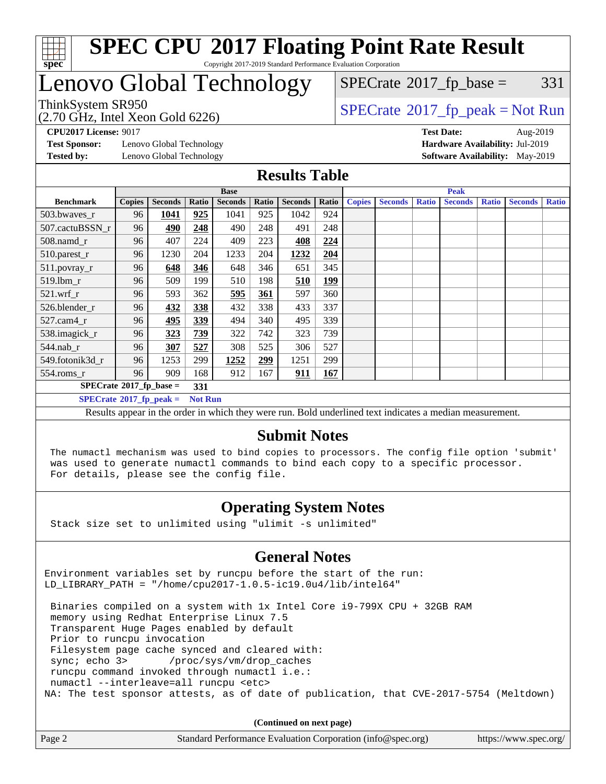

#### **[SPEC CPU](http://www.spec.org/auto/cpu2017/Docs/result-fields.html#SPECCPU2017FloatingPointRateResult)[2017 Floating Point Rate Result](http://www.spec.org/auto/cpu2017/Docs/result-fields.html#SPECCPU2017FloatingPointRateResult)** Copyright 2017-2019 Standard Performance Evaluation Corporation

## Lenovo Global Technology

(2.70 GHz, Intel Xeon Gold 6226)

 $SPECTate@2017_fp\_base = 331$ 

ThinkSystem SR950<br>  $(2.70 \text{ GHz} \text{ Intel } X_{200} \text{ Gold } 6236)$  [SPECrate](http://www.spec.org/auto/cpu2017/Docs/result-fields.html#SPECrate2017fppeak)®[2017\\_fp\\_peak = N](http://www.spec.org/auto/cpu2017/Docs/result-fields.html#SPECrate2017fppeak)ot Run

**[CPU2017 License:](http://www.spec.org/auto/cpu2017/Docs/result-fields.html#CPU2017License)** 9017 **[Test Date:](http://www.spec.org/auto/cpu2017/Docs/result-fields.html#TestDate)** Aug-2019

**[Test Sponsor:](http://www.spec.org/auto/cpu2017/Docs/result-fields.html#TestSponsor)** Lenovo Global Technology **[Hardware Availability:](http://www.spec.org/auto/cpu2017/Docs/result-fields.html#HardwareAvailability)** Jul-2019 **[Tested by:](http://www.spec.org/auto/cpu2017/Docs/result-fields.html#Testedby)** Lenovo Global Technology **[Software Availability:](http://www.spec.org/auto/cpu2017/Docs/result-fields.html#SoftwareAvailability)** May-2019

### **[Results Table](http://www.spec.org/auto/cpu2017/Docs/result-fields.html#ResultsTable)**

|                                   | <b>Base</b>   |                |                |                |       | <b>Peak</b>    |       |               |                |              |                |              |                |              |
|-----------------------------------|---------------|----------------|----------------|----------------|-------|----------------|-------|---------------|----------------|--------------|----------------|--------------|----------------|--------------|
| <b>Benchmark</b>                  | <b>Copies</b> | <b>Seconds</b> | Ratio          | <b>Seconds</b> | Ratio | <b>Seconds</b> | Ratio | <b>Copies</b> | <b>Seconds</b> | <b>Ratio</b> | <b>Seconds</b> | <b>Ratio</b> | <b>Seconds</b> | <b>Ratio</b> |
| $503.bwaves_r$                    | 96            | 1041           | 925            | 1041           | 925   | 1042           | 924   |               |                |              |                |              |                |              |
| 507.cactuBSSN r                   | 96            | 490            | 248            | 490            | 248   | 491            | 248   |               |                |              |                |              |                |              |
| $508$ .namd $r$                   | 96            | 407            | 224            | 409            | 223   | 408            | 224   |               |                |              |                |              |                |              |
| 510.parest_r                      | 96            | 1230           | 204            | 1233           | 204   | 1232           | 204   |               |                |              |                |              |                |              |
| 511.povray_r                      | 96            | 648            | 346            | 648            | 346   | 651            | 345   |               |                |              |                |              |                |              |
| $519.1$ bm r                      | 96            | 509            | 199            | 510            | 198   | 510            | 199   |               |                |              |                |              |                |              |
| 521.wrf                           | 96            | 593            | 362            | 595            | 361   | 597            | 360   |               |                |              |                |              |                |              |
| 526.blender r                     | 96            | 432            | 338            | 432            | 338   | 433            | 337   |               |                |              |                |              |                |              |
| $527.cam4_r$                      | 96            | 495            | 339            | 494            | 340   | 495            | 339   |               |                |              |                |              |                |              |
| 538.imagick_r                     | 96            | 323            | 739            | 322            | 742   | 323            | 739   |               |                |              |                |              |                |              |
| 544.nab r                         | 96            | 307            | 527            | 308            | 525   | 306            | 527   |               |                |              |                |              |                |              |
| 549.fotonik3d r                   | 96            | 1253           | 299            | 1252           | 299   | 1251           | 299   |               |                |              |                |              |                |              |
| $554$ .roms_r                     | 96            | 909            | 168            | 912            | 167   | 911            | 167   |               |                |              |                |              |                |              |
| $SPECrate^{\circ}2017$ fp base =  |               |                | 331            |                |       |                |       |               |                |              |                |              |                |              |
| $SPECrate^{\circ}2017$ _fp_peak = |               |                | <b>Not Run</b> |                |       |                |       |               |                |              |                |              |                |              |

Results appear in the [order in which they were run](http://www.spec.org/auto/cpu2017/Docs/result-fields.html#RunOrder). Bold underlined text [indicates a median measurement](http://www.spec.org/auto/cpu2017/Docs/result-fields.html#Median).

### **[Submit Notes](http://www.spec.org/auto/cpu2017/Docs/result-fields.html#SubmitNotes)**

 The numactl mechanism was used to bind copies to processors. The config file option 'submit' was used to generate numactl commands to bind each copy to a specific processor. For details, please see the config file.

### **[Operating System Notes](http://www.spec.org/auto/cpu2017/Docs/result-fields.html#OperatingSystemNotes)**

Stack size set to unlimited using "ulimit -s unlimited"

#### **[General Notes](http://www.spec.org/auto/cpu2017/Docs/result-fields.html#GeneralNotes)**

Environment variables set by runcpu before the start of the run: LD LIBRARY PATH = "/home/cpu2017-1.0.5-ic19.0u4/lib/intel64"

 Binaries compiled on a system with 1x Intel Core i9-799X CPU + 32GB RAM memory using Redhat Enterprise Linux 7.5 Transparent Huge Pages enabled by default Prior to runcpu invocation Filesystem page cache synced and cleared with: sync; echo 3> /proc/sys/vm/drop\_caches runcpu command invoked through numactl i.e.: numactl --interleave=all runcpu <etc> NA: The test sponsor attests, as of date of publication, that CVE-2017-5754 (Meltdown)

**(Continued on next page)**

| Page 2<br>Standard Performance Evaluation Corporation (info@spec.org) | https://www.spec.org/ |
|-----------------------------------------------------------------------|-----------------------|
|-----------------------------------------------------------------------|-----------------------|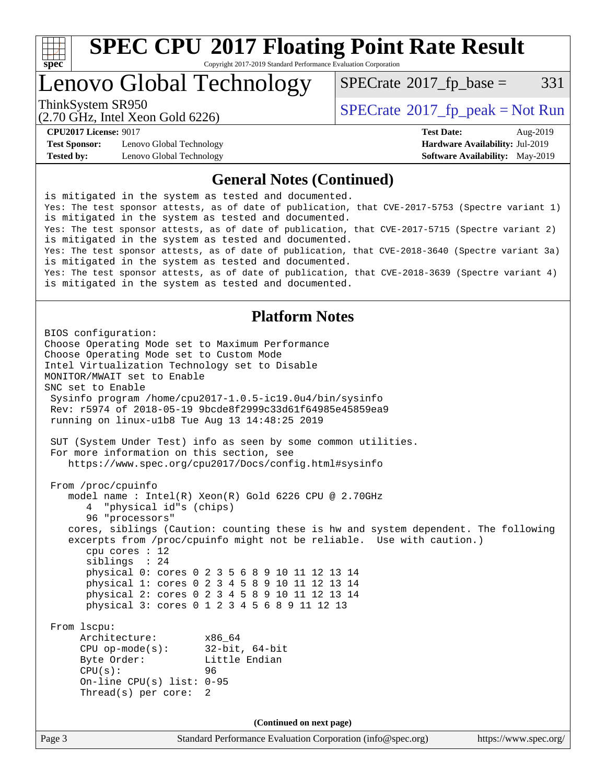

Copyright 2017-2019 Standard Performance Evaluation Corporation

Lenovo Global Technology

 $SPECTate@2017_fp\_base = 331$ 

(2.70 GHz, Intel Xeon Gold 6226)

ThinkSystem SR950<br>  $SPECTI<sub>2</sub> 30 GHz, Intel Yeso, Gold 6226$ 

**[Test Sponsor:](http://www.spec.org/auto/cpu2017/Docs/result-fields.html#TestSponsor)** Lenovo Global Technology **[Hardware Availability:](http://www.spec.org/auto/cpu2017/Docs/result-fields.html#HardwareAvailability)** Jul-2019 **[Tested by:](http://www.spec.org/auto/cpu2017/Docs/result-fields.html#Testedby)** Lenovo Global Technology **[Software Availability:](http://www.spec.org/auto/cpu2017/Docs/result-fields.html#SoftwareAvailability)** May-2019

**[CPU2017 License:](http://www.spec.org/auto/cpu2017/Docs/result-fields.html#CPU2017License)** 9017 **[Test Date:](http://www.spec.org/auto/cpu2017/Docs/result-fields.html#TestDate)** Aug-2019

#### **[General Notes \(Continued\)](http://www.spec.org/auto/cpu2017/Docs/result-fields.html#GeneralNotes)**

is mitigated in the system as tested and documented. Yes: The test sponsor attests, as of date of publication, that CVE-2017-5753 (Spectre variant 1) is mitigated in the system as tested and documented. Yes: The test sponsor attests, as of date of publication, that CVE-2017-5715 (Spectre variant 2) is mitigated in the system as tested and documented. Yes: The test sponsor attests, as of date of publication, that CVE-2018-3640 (Spectre variant 3a) is mitigated in the system as tested and documented. Yes: The test sponsor attests, as of date of publication, that CVE-2018-3639 (Spectre variant 4) is mitigated in the system as tested and documented.

### **[Platform Notes](http://www.spec.org/auto/cpu2017/Docs/result-fields.html#PlatformNotes)**

```
Page 3 Standard Performance Evaluation Corporation (info@spec.org) https://www.spec.org/
BIOS configuration:
Choose Operating Mode set to Maximum Performance
Choose Operating Mode set to Custom Mode
Intel Virtualization Technology set to Disable
MONITOR/MWAIT set to Enable
SNC set to Enable
  Sysinfo program /home/cpu2017-1.0.5-ic19.0u4/bin/sysinfo
  Rev: r5974 of 2018-05-19 9bcde8f2999c33d61f64985e45859ea9
  running on linux-u1b8 Tue Aug 13 14:48:25 2019
  SUT (System Under Test) info as seen by some common utilities.
  For more information on this section, see
     https://www.spec.org/cpu2017/Docs/config.html#sysinfo
  From /proc/cpuinfo
     model name : Intel(R) Xeon(R) Gold 6226 CPU @ 2.70GHz
        4 "physical id"s (chips)
        96 "processors"
     cores, siblings (Caution: counting these is hw and system dependent. The following
     excerpts from /proc/cpuinfo might not be reliable. Use with caution.)
        cpu cores : 12
        siblings : 24
        physical 0: cores 0 2 3 5 6 8 9 10 11 12 13 14
        physical 1: cores 0 2 3 4 5 8 9 10 11 12 13 14
        physical 2: cores 0 2 3 4 5 8 9 10 11 12 13 14
        physical 3: cores 0 1 2 3 4 5 6 8 9 11 12 13
  From lscpu:
       Architecture: x86_64
       CPU op-mode(s): 32-bit, 64-bit
      Byte Order: Little Endian
       CPU(s): 96
       On-line CPU(s) list: 0-95
       Thread(s) per core: 2
                                    (Continued on next page)
```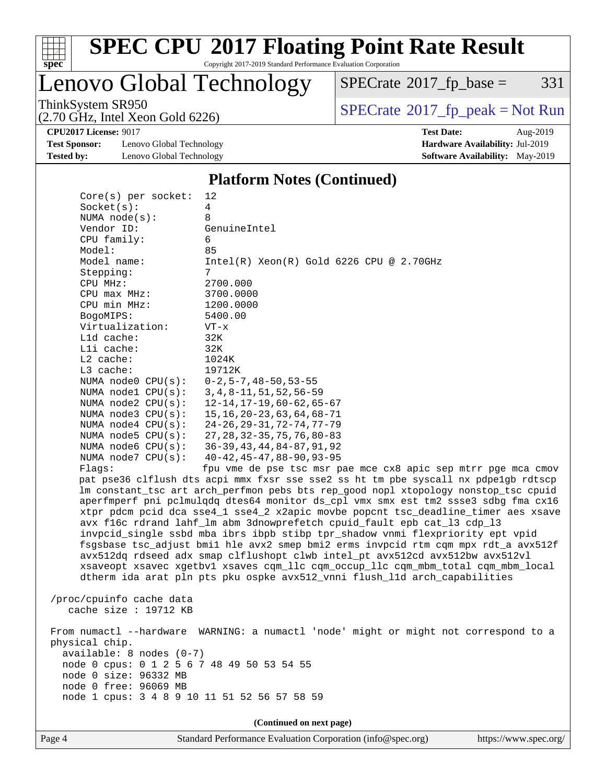

Copyright 2017-2019 Standard Performance Evaluation Corporation

## Lenovo Global Technology

 $SPECrate$ <sup>®</sup>[2017\\_fp\\_base =](http://www.spec.org/auto/cpu2017/Docs/result-fields.html#SPECrate2017fpbase) 331

(2.70 GHz, Intel Xeon Gold 6226)

ThinkSystem SR950<br>  $(2.70 \text{ GHz})$  Intel Xeon Gold 6226)

**[Test Sponsor:](http://www.spec.org/auto/cpu2017/Docs/result-fields.html#TestSponsor)** Lenovo Global Technology **[Hardware Availability:](http://www.spec.org/auto/cpu2017/Docs/result-fields.html#HardwareAvailability)** Jul-2019 **[Tested by:](http://www.spec.org/auto/cpu2017/Docs/result-fields.html#Testedby)** Lenovo Global Technology **[Software Availability:](http://www.spec.org/auto/cpu2017/Docs/result-fields.html#SoftwareAvailability)** May-2019

**[CPU2017 License:](http://www.spec.org/auto/cpu2017/Docs/result-fields.html#CPU2017License)** 9017 **[Test Date:](http://www.spec.org/auto/cpu2017/Docs/result-fields.html#TestDate)** Aug-2019

#### **[Platform Notes \(Continued\)](http://www.spec.org/auto/cpu2017/Docs/result-fields.html#PlatformNotes)**

| $Core(s)$ per socket:                                                                   | 12                                                                                  |  |  |  |  |
|-----------------------------------------------------------------------------------------|-------------------------------------------------------------------------------------|--|--|--|--|
| Socket(s):                                                                              | 4                                                                                   |  |  |  |  |
| NUMA $node(s):$                                                                         | 8                                                                                   |  |  |  |  |
| Vendor ID:                                                                              | GenuineIntel                                                                        |  |  |  |  |
| CPU family:                                                                             | 6                                                                                   |  |  |  |  |
| Model:                                                                                  | 85                                                                                  |  |  |  |  |
| Model name:                                                                             | $Intel(R) Xeon(R) Gold 6226 CPU @ 2.70GHz$                                          |  |  |  |  |
| Stepping:                                                                               | 7                                                                                   |  |  |  |  |
| CPU MHz:                                                                                | 2700.000                                                                            |  |  |  |  |
| CPU max MHz:                                                                            | 3700.0000                                                                           |  |  |  |  |
| CPU min MHz:                                                                            | 1200.0000                                                                           |  |  |  |  |
| BogoMIPS:                                                                               | 5400.00                                                                             |  |  |  |  |
| Virtualization:                                                                         | $VT - x$                                                                            |  |  |  |  |
| L1d cache:                                                                              | 32K                                                                                 |  |  |  |  |
| Lli cache:                                                                              | 32K                                                                                 |  |  |  |  |
| $L2$ cache:                                                                             | 1024K                                                                               |  |  |  |  |
| L3 cache:                                                                               | 19712K                                                                              |  |  |  |  |
| NUMA $node0$ $CPU(s):$                                                                  | $0 - 2$ , 5 – 7, 48 – 50, 53 – 55                                                   |  |  |  |  |
| NUMA nodel CPU(s):                                                                      | 3, 4, 8-11, 51, 52, 56-59                                                           |  |  |  |  |
| NUMA $node2$ $CPU(s):$                                                                  | $12 - 14, 17 - 19, 60 - 62, 65 - 67$                                                |  |  |  |  |
| NUMA $node3$ CPU $(s)$ :                                                                | 15, 16, 20 - 23, 63, 64, 68 - 71                                                    |  |  |  |  |
| NUMA $node4$ $CPU(s):$                                                                  | $24 - 26$ , $29 - 31$ , $72 - 74$ , $77 - 79$                                       |  |  |  |  |
| NUMA node5 $CPU(s):$                                                                    | 27, 28, 32 – 35, 75, 76, 80 – 83                                                    |  |  |  |  |
| NUMA node6 CPU(s):                                                                      | $36 - 39, 43, 44, 84 - 87, 91, 92$                                                  |  |  |  |  |
| NUMA $node7$ CPU $(s)$ :                                                                | $40 - 42, 45 - 47, 88 - 90, 93 - 95$                                                |  |  |  |  |
| Flags:                                                                                  | fpu vme de pse tsc msr pae mce cx8 apic sep mtrr pge mca cmov                       |  |  |  |  |
|                                                                                         | pat pse36 clflush dts acpi mmx fxsr sse sse2 ss ht tm pbe syscall nx pdpelgb rdtscp |  |  |  |  |
|                                                                                         | lm constant_tsc art arch_perfmon pebs bts rep_good nopl xtopology nonstop_tsc cpuid |  |  |  |  |
|                                                                                         | aperfmperf pni pclmulqdq dtes64 monitor ds_cpl vmx smx est tm2 ssse3 sdbg fma cx16  |  |  |  |  |
| xtpr pdcm pcid dca sse4_1 sse4_2 x2apic movbe popcnt tsc_deadline_timer aes xsave       |                                                                                     |  |  |  |  |
| avx f16c rdrand lahf_lm abm 3dnowprefetch cpuid_fault epb cat_13 cdp_13                 |                                                                                     |  |  |  |  |
|                                                                                         | invpcid_single ssbd mba ibrs ibpb stibp tpr_shadow vnmi flexpriority ept vpid       |  |  |  |  |
|                                                                                         | fsgsbase tsc_adjust bmil hle avx2 smep bmi2 erms invpcid rtm cqm mpx rdt_a avx512f  |  |  |  |  |
| avx512dq rdseed adx smap clflushopt clwb intel_pt avx512cd avx512bw avx512vl            |                                                                                     |  |  |  |  |
| xsaveopt xsavec xgetbvl xsaves cqm_llc cqm_occup_llc cqm_mbm_total cqm_mbm_local        |                                                                                     |  |  |  |  |
|                                                                                         | dtherm ida arat pln pts pku ospke avx512_vnni flush_lld arch_capabilities           |  |  |  |  |
|                                                                                         |                                                                                     |  |  |  |  |
| /proc/cpuinfo cache data                                                                |                                                                                     |  |  |  |  |
| cache size : $19712$ KB                                                                 |                                                                                     |  |  |  |  |
|                                                                                         |                                                                                     |  |  |  |  |
| WARNING: a numactl 'node' might or might not correspond to a<br>From numactl --hardware |                                                                                     |  |  |  |  |
| physical chip.                                                                          |                                                                                     |  |  |  |  |
| $available: 8 nodes (0-7)$                                                              |                                                                                     |  |  |  |  |
| node 0 cpus: 0 1 2 5 6 7 48 49 50 53 54 55                                              |                                                                                     |  |  |  |  |
| node 0 size: 96332 MB                                                                   |                                                                                     |  |  |  |  |
| node 0 free: 96069 MB                                                                   |                                                                                     |  |  |  |  |
| node 1 cpus: 3 4 8 9 10 11 51 52 56 57 58 59                                            |                                                                                     |  |  |  |  |
|                                                                                         |                                                                                     |  |  |  |  |
|                                                                                         | (Continued on next page)                                                            |  |  |  |  |
|                                                                                         |                                                                                     |  |  |  |  |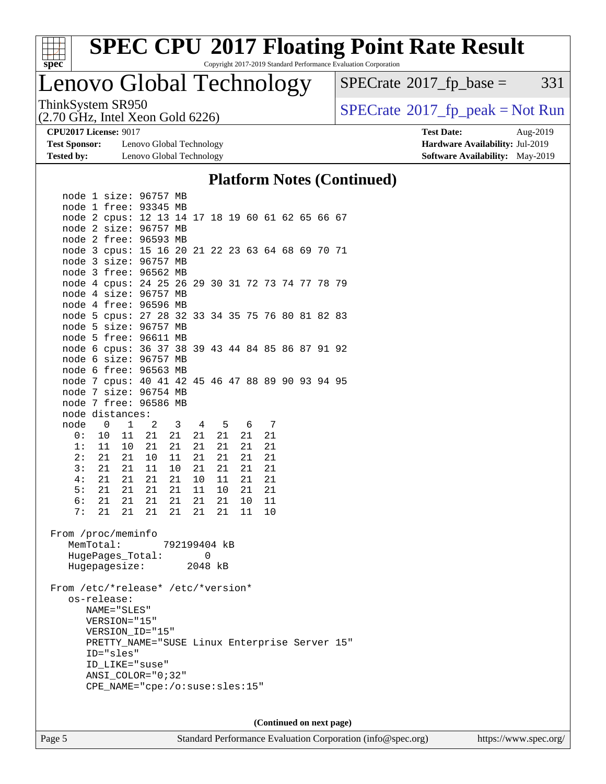

Copyright 2017-2019 Standard Performance Evaluation Corporation

### Lenovo Global Technology

 $SPECTate@2017_fp\_base = 331$ 

(2.70 GHz, Intel Xeon Gold 6226)

ThinkSystem SR950<br>(2.70 GHz, Intel Xeon Gold 6226) [SPECrate](http://www.spec.org/auto/cpu2017/Docs/result-fields.html#SPECrate2017fppeak)®[2017\\_fp\\_peak = N](http://www.spec.org/auto/cpu2017/Docs/result-fields.html#SPECrate2017fppeak)ot Run

**[Test Sponsor:](http://www.spec.org/auto/cpu2017/Docs/result-fields.html#TestSponsor)** Lenovo Global Technology **[Hardware Availability:](http://www.spec.org/auto/cpu2017/Docs/result-fields.html#HardwareAvailability)** Jul-2019 **[Tested by:](http://www.spec.org/auto/cpu2017/Docs/result-fields.html#Testedby)** Lenovo Global Technology **[Software Availability:](http://www.spec.org/auto/cpu2017/Docs/result-fields.html#SoftwareAvailability)** May-2019

**[CPU2017 License:](http://www.spec.org/auto/cpu2017/Docs/result-fields.html#CPU2017License)** 9017 **[Test Date:](http://www.spec.org/auto/cpu2017/Docs/result-fields.html#TestDate)** Aug-2019

#### **[Platform Notes \(Continued\)](http://www.spec.org/auto/cpu2017/Docs/result-fields.html#PlatformNotes)**

**(Continued on next page)**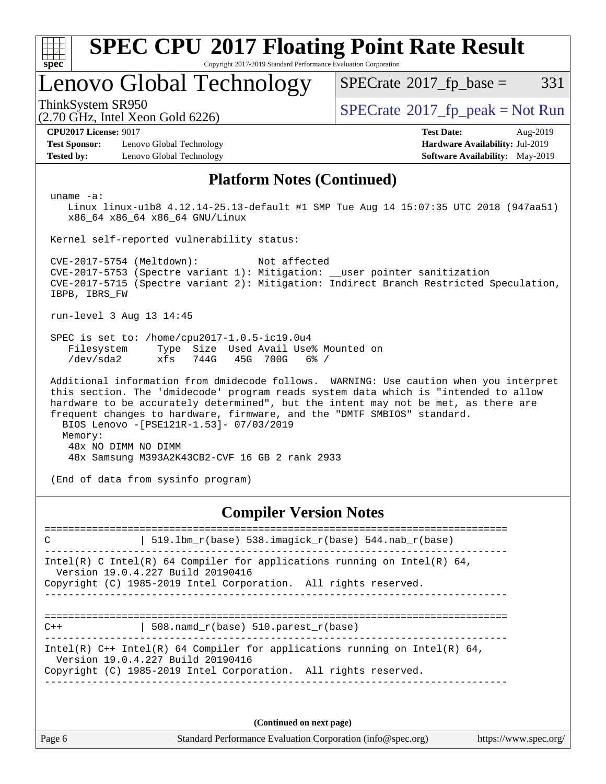| <b>SPEC CPU®2017 Floating Point Rate Result</b>                                                                                                                                                                                                                                                                                                                                                                             |                                                                                                            |  |  |  |  |
|-----------------------------------------------------------------------------------------------------------------------------------------------------------------------------------------------------------------------------------------------------------------------------------------------------------------------------------------------------------------------------------------------------------------------------|------------------------------------------------------------------------------------------------------------|--|--|--|--|
| $spec^*$<br>Copyright 2017-2019 Standard Performance Evaluation Corporation<br>Lenovo Global Technology                                                                                                                                                                                                                                                                                                                     | $SPECrate^{\circledcirc}2017$ fp base =<br>331                                                             |  |  |  |  |
| ThinkSystem SR950<br>$(2.70$ GHz, Intel Xeon Gold $6226)$                                                                                                                                                                                                                                                                                                                                                                   | $SPECrate^{\circledcirc}2017$ _fp_peak = Not Run                                                           |  |  |  |  |
| <b>CPU2017 License: 9017</b><br><b>Test Sponsor:</b><br>Lenovo Global Technology<br><b>Tested by:</b><br>Lenovo Global Technology                                                                                                                                                                                                                                                                                           | <b>Test Date:</b><br>Aug-2019<br><b>Hardware Availability: Jul-2019</b><br>Software Availability: May-2019 |  |  |  |  |
| <b>Platform Notes (Continued)</b>                                                                                                                                                                                                                                                                                                                                                                                           |                                                                                                            |  |  |  |  |
| uname $-a$ :<br>Linux linux-ulb8 4.12.14-25.13-default #1 SMP Tue Aug 14 15:07:35 UTC 2018 (947aa51)<br>x86_64 x86_64 x86_64 GNU/Linux                                                                                                                                                                                                                                                                                      |                                                                                                            |  |  |  |  |
| Kernel self-reported vulnerability status:                                                                                                                                                                                                                                                                                                                                                                                  |                                                                                                            |  |  |  |  |
| CVE-2017-5754 (Meltdown):<br>Not affected<br>CVE-2017-5753 (Spectre variant 1): Mitigation: __user pointer sanitization<br>CVE-2017-5715 (Spectre variant 2): Mitigation: Indirect Branch Restricted Speculation,<br>IBPB, IBRS_FW                                                                                                                                                                                          |                                                                                                            |  |  |  |  |
| run-level 3 Aug 13 14:45                                                                                                                                                                                                                                                                                                                                                                                                    |                                                                                                            |  |  |  |  |
| SPEC is set to: /home/cpu2017-1.0.5-ic19.0u4<br>Filesystem<br>Size Used Avail Use% Mounted on<br>Type<br>/dev/sda2<br>xfs<br>744G<br>45G<br>700G<br>$6\%$ /                                                                                                                                                                                                                                                                 |                                                                                                            |  |  |  |  |
| Additional information from dmidecode follows. WARNING: Use caution when you interpret<br>this section. The 'dmidecode' program reads system data which is "intended to allow<br>hardware to be accurately determined", but the intent may not be met, as there are<br>frequent changes to hardware, firmware, and the "DMTF SMBIOS" standard.<br>BIOS Lenovo -[PSE121R-1.53]- 07/03/2019<br>Memory:<br>48x NO DIMM NO DIMM |                                                                                                            |  |  |  |  |
| 48x Samsung M393A2K43CB2-CVF 16 GB 2 rank 2933                                                                                                                                                                                                                                                                                                                                                                              |                                                                                                            |  |  |  |  |
| (End of data from sysinfo program)                                                                                                                                                                                                                                                                                                                                                                                          |                                                                                                            |  |  |  |  |
| <b>Compiler Version Notes</b>                                                                                                                                                                                                                                                                                                                                                                                               |                                                                                                            |  |  |  |  |

| 519.1bm $r(base)$ 538.imagick $r(base)$ 544.nab $r(base)$<br>$\mathcal{C}$                                                                                                           |  |  |  |  |  |  |
|--------------------------------------------------------------------------------------------------------------------------------------------------------------------------------------|--|--|--|--|--|--|
| Intel(R) C Intel(R) 64 Compiler for applications running on Intel(R) 64,<br>Version 19.0.4.227 Build 20190416<br>Copyright (C) 1985-2019 Intel Corporation. All rights reserved.     |  |  |  |  |  |  |
| 508. namd $r(base)$ 510. parest $r(base)$<br>$C++$                                                                                                                                   |  |  |  |  |  |  |
| Intel(R) $C++$ Intel(R) 64 Compiler for applications running on Intel(R) 64,<br>Version 19.0.4.227 Build 20190416<br>Copyright (C) 1985-2019 Intel Corporation. All rights reserved. |  |  |  |  |  |  |
| (Continued on next page)                                                                                                                                                             |  |  |  |  |  |  |

Page 6 Standard Performance Evaluation Corporation [\(info@spec.org\)](mailto:info@spec.org) <https://www.spec.org/>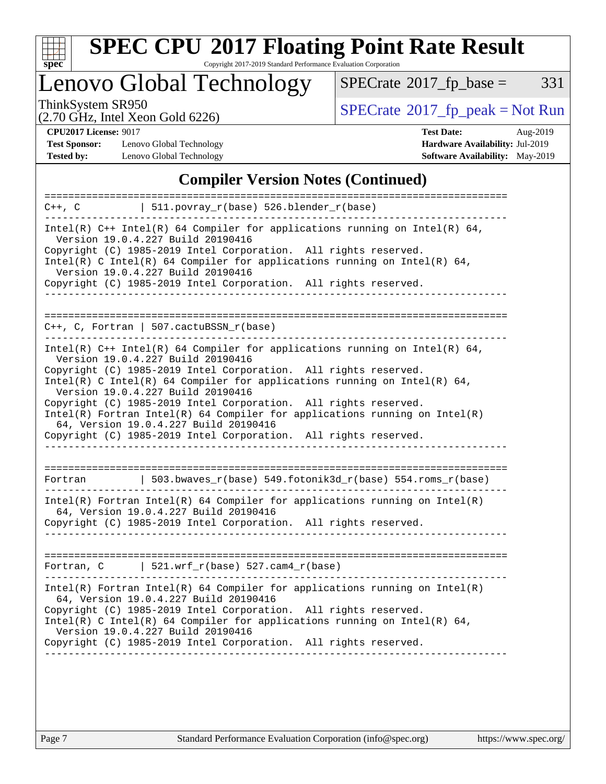

Copyright 2017-2019 Standard Performance Evaluation Corporation

Lenovo Global Technology

 $SPECTate@2017_fp\_base = 331$ 

(2.70 GHz, Intel Xeon Gold 6226)

ThinkSystem SR950<br>  $(2.70 \text{ GHz})$  Intel Xeon Gold 6226)

**[Test Sponsor:](http://www.spec.org/auto/cpu2017/Docs/result-fields.html#TestSponsor)** Lenovo Global Technology **[Hardware Availability:](http://www.spec.org/auto/cpu2017/Docs/result-fields.html#HardwareAvailability)** Jul-2019 **[Tested by:](http://www.spec.org/auto/cpu2017/Docs/result-fields.html#Testedby)** Lenovo Global Technology **[Software Availability:](http://www.spec.org/auto/cpu2017/Docs/result-fields.html#SoftwareAvailability)** May-2019

**[CPU2017 License:](http://www.spec.org/auto/cpu2017/Docs/result-fields.html#CPU2017License)** 9017 **[Test Date:](http://www.spec.org/auto/cpu2017/Docs/result-fields.html#TestDate)** Aug-2019

### **[Compiler Version Notes \(Continued\)](http://www.spec.org/auto/cpu2017/Docs/result-fields.html#CompilerVersionNotes)**

| $511.povray_r(base) 526.blender_r(base)$<br>C++, C                                                                                                                                                                                                                                                                                                                                                                                                                                                                                                                   |
|----------------------------------------------------------------------------------------------------------------------------------------------------------------------------------------------------------------------------------------------------------------------------------------------------------------------------------------------------------------------------------------------------------------------------------------------------------------------------------------------------------------------------------------------------------------------|
| Intel(R) $C++$ Intel(R) 64 Compiler for applications running on Intel(R) 64,<br>Version 19.0.4.227 Build 20190416<br>Copyright (C) 1985-2019 Intel Corporation. All rights reserved.<br>Intel(R) C Intel(R) 64 Compiler for applications running on Intel(R) 64,<br>Version 19.0.4.227 Build 20190416<br>Copyright (C) 1985-2019 Intel Corporation. All rights reserved.                                                                                                                                                                                             |
| $C_{++}$ , C, Fortran   507.cactuBSSN r(base)                                                                                                                                                                                                                                                                                                                                                                                                                                                                                                                        |
| Intel(R) $C++$ Intel(R) 64 Compiler for applications running on Intel(R) 64,<br>Version 19.0.4.227 Build 20190416<br>Copyright (C) 1985-2019 Intel Corporation. All rights reserved.<br>Intel(R) C Intel(R) 64 Compiler for applications running on Intel(R) 64,<br>Version 19.0.4.227 Build 20190416<br>Copyright (C) 1985-2019 Intel Corporation. All rights reserved.<br>$Intel(R)$ Fortran Intel(R) 64 Compiler for applications running on Intel(R)<br>64, Version 19.0.4.227 Build 20190416<br>Copyright (C) 1985-2019 Intel Corporation. All rights reserved. |
| $\vert$ 503.bwaves_r(base) 549.fotonik3d_r(base) 554.roms_r(base)<br>Fortran                                                                                                                                                                                                                                                                                                                                                                                                                                                                                         |
| $Intel(R)$ Fortran Intel(R) 64 Compiler for applications running on Intel(R)<br>64, Version 19.0.4.227 Build 20190416<br>Copyright (C) 1985-2019 Intel Corporation. All rights reserved.                                                                                                                                                                                                                                                                                                                                                                             |
| Fortran, $C$   521.wrf_r(base) 527.cam4_r(base)                                                                                                                                                                                                                                                                                                                                                                                                                                                                                                                      |
| Intel(R) Fortran Intel(R) 64 Compiler for applications running on Intel(R)<br>64, Version 19.0.4.227 Build 20190416<br>Copyright (C) 1985-2019 Intel Corporation. All rights reserved.<br>Intel(R) C Intel(R) 64 Compiler for applications running on Intel(R) 64,<br>Version 19.0.4.227 Build 20190416<br>Copyright (C) 1985-2019 Intel Corporation. All rights reserved.                                                                                                                                                                                           |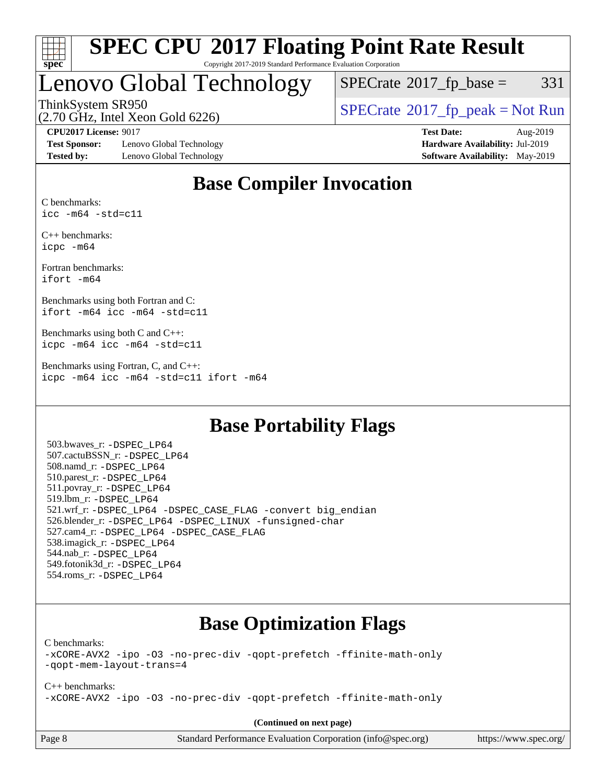

#### **[SPEC CPU](http://www.spec.org/auto/cpu2017/Docs/result-fields.html#SPECCPU2017FloatingPointRateResult)[2017 Floating Point Rate Result](http://www.spec.org/auto/cpu2017/Docs/result-fields.html#SPECCPU2017FloatingPointRateResult)** Copyright 2017-2019 Standard Performance Evaluation Corporation

## Lenovo Global Technology

 $SPECTate@2017_fp\_base = 331$ 

(2.70 GHz, Intel Xeon Gold 6226)

ThinkSystem SR950<br>  $\begin{array}{c}\n\text{SPECrate} \textcirc 2017\_fp\_peak = Not Run \\
\text{SPECrate} \textcirc 2017\_fp\_peak = Not Run\n\end{array}$  $\begin{array}{c}\n\text{SPECrate} \textcirc 2017\_fp\_peak = Not Run \\
\text{SPECrate} \textcirc 2017\_fp\_peak = Not Run\n\end{array}$  $\begin{array}{c}\n\text{SPECrate} \textcirc 2017\_fp\_peak = Not Run \\
\text{SPECrate} \textcirc 2017\_fp\_peak = Not Run\n\end{array}$ 

**[Test Sponsor:](http://www.spec.org/auto/cpu2017/Docs/result-fields.html#TestSponsor)** Lenovo Global Technology **[Hardware Availability:](http://www.spec.org/auto/cpu2017/Docs/result-fields.html#HardwareAvailability)** Jul-2019 **[Tested by:](http://www.spec.org/auto/cpu2017/Docs/result-fields.html#Testedby)** Lenovo Global Technology **[Software Availability:](http://www.spec.org/auto/cpu2017/Docs/result-fields.html#SoftwareAvailability)** May-2019

**[CPU2017 License:](http://www.spec.org/auto/cpu2017/Docs/result-fields.html#CPU2017License)** 9017 **[Test Date:](http://www.spec.org/auto/cpu2017/Docs/result-fields.html#TestDate)** Aug-2019

### **[Base Compiler Invocation](http://www.spec.org/auto/cpu2017/Docs/result-fields.html#BaseCompilerInvocation)**

[C benchmarks:](http://www.spec.org/auto/cpu2017/Docs/result-fields.html#Cbenchmarks) [icc -m64 -std=c11](http://www.spec.org/cpu2017/results/res2019q3/cpu2017-20190902-17529.flags.html#user_CCbase_intel_icc_64bit_c11_33ee0cdaae7deeeab2a9725423ba97205ce30f63b9926c2519791662299b76a0318f32ddfffdc46587804de3178b4f9328c46fa7c2b0cd779d7a61945c91cd35)

[C++ benchmarks:](http://www.spec.org/auto/cpu2017/Docs/result-fields.html#CXXbenchmarks) [icpc -m64](http://www.spec.org/cpu2017/results/res2019q3/cpu2017-20190902-17529.flags.html#user_CXXbase_intel_icpc_64bit_4ecb2543ae3f1412ef961e0650ca070fec7b7afdcd6ed48761b84423119d1bf6bdf5cad15b44d48e7256388bc77273b966e5eb805aefd121eb22e9299b2ec9d9)

[Fortran benchmarks](http://www.spec.org/auto/cpu2017/Docs/result-fields.html#Fortranbenchmarks): [ifort -m64](http://www.spec.org/cpu2017/results/res2019q3/cpu2017-20190902-17529.flags.html#user_FCbase_intel_ifort_64bit_24f2bb282fbaeffd6157abe4f878425411749daecae9a33200eee2bee2fe76f3b89351d69a8130dd5949958ce389cf37ff59a95e7a40d588e8d3a57e0c3fd751)

[Benchmarks using both Fortran and C:](http://www.spec.org/auto/cpu2017/Docs/result-fields.html#BenchmarksusingbothFortranandC) [ifort -m64](http://www.spec.org/cpu2017/results/res2019q3/cpu2017-20190902-17529.flags.html#user_CC_FCbase_intel_ifort_64bit_24f2bb282fbaeffd6157abe4f878425411749daecae9a33200eee2bee2fe76f3b89351d69a8130dd5949958ce389cf37ff59a95e7a40d588e8d3a57e0c3fd751) [icc -m64 -std=c11](http://www.spec.org/cpu2017/results/res2019q3/cpu2017-20190902-17529.flags.html#user_CC_FCbase_intel_icc_64bit_c11_33ee0cdaae7deeeab2a9725423ba97205ce30f63b9926c2519791662299b76a0318f32ddfffdc46587804de3178b4f9328c46fa7c2b0cd779d7a61945c91cd35)

[Benchmarks using both C and C++](http://www.spec.org/auto/cpu2017/Docs/result-fields.html#BenchmarksusingbothCandCXX): [icpc -m64](http://www.spec.org/cpu2017/results/res2019q3/cpu2017-20190902-17529.flags.html#user_CC_CXXbase_intel_icpc_64bit_4ecb2543ae3f1412ef961e0650ca070fec7b7afdcd6ed48761b84423119d1bf6bdf5cad15b44d48e7256388bc77273b966e5eb805aefd121eb22e9299b2ec9d9) [icc -m64 -std=c11](http://www.spec.org/cpu2017/results/res2019q3/cpu2017-20190902-17529.flags.html#user_CC_CXXbase_intel_icc_64bit_c11_33ee0cdaae7deeeab2a9725423ba97205ce30f63b9926c2519791662299b76a0318f32ddfffdc46587804de3178b4f9328c46fa7c2b0cd779d7a61945c91cd35)

[Benchmarks using Fortran, C, and C++:](http://www.spec.org/auto/cpu2017/Docs/result-fields.html#BenchmarksusingFortranCandCXX) [icpc -m64](http://www.spec.org/cpu2017/results/res2019q3/cpu2017-20190902-17529.flags.html#user_CC_CXX_FCbase_intel_icpc_64bit_4ecb2543ae3f1412ef961e0650ca070fec7b7afdcd6ed48761b84423119d1bf6bdf5cad15b44d48e7256388bc77273b966e5eb805aefd121eb22e9299b2ec9d9) [icc -m64 -std=c11](http://www.spec.org/cpu2017/results/res2019q3/cpu2017-20190902-17529.flags.html#user_CC_CXX_FCbase_intel_icc_64bit_c11_33ee0cdaae7deeeab2a9725423ba97205ce30f63b9926c2519791662299b76a0318f32ddfffdc46587804de3178b4f9328c46fa7c2b0cd779d7a61945c91cd35) [ifort -m64](http://www.spec.org/cpu2017/results/res2019q3/cpu2017-20190902-17529.flags.html#user_CC_CXX_FCbase_intel_ifort_64bit_24f2bb282fbaeffd6157abe4f878425411749daecae9a33200eee2bee2fe76f3b89351d69a8130dd5949958ce389cf37ff59a95e7a40d588e8d3a57e0c3fd751)

### **[Base Portability Flags](http://www.spec.org/auto/cpu2017/Docs/result-fields.html#BasePortabilityFlags)**

 503.bwaves\_r: [-DSPEC\\_LP64](http://www.spec.org/cpu2017/results/res2019q3/cpu2017-20190902-17529.flags.html#suite_basePORTABILITY503_bwaves_r_DSPEC_LP64) 507.cactuBSSN\_r: [-DSPEC\\_LP64](http://www.spec.org/cpu2017/results/res2019q3/cpu2017-20190902-17529.flags.html#suite_basePORTABILITY507_cactuBSSN_r_DSPEC_LP64) 508.namd\_r: [-DSPEC\\_LP64](http://www.spec.org/cpu2017/results/res2019q3/cpu2017-20190902-17529.flags.html#suite_basePORTABILITY508_namd_r_DSPEC_LP64) 510.parest\_r: [-DSPEC\\_LP64](http://www.spec.org/cpu2017/results/res2019q3/cpu2017-20190902-17529.flags.html#suite_basePORTABILITY510_parest_r_DSPEC_LP64) 511.povray\_r: [-DSPEC\\_LP64](http://www.spec.org/cpu2017/results/res2019q3/cpu2017-20190902-17529.flags.html#suite_basePORTABILITY511_povray_r_DSPEC_LP64) 519.lbm\_r: [-DSPEC\\_LP64](http://www.spec.org/cpu2017/results/res2019q3/cpu2017-20190902-17529.flags.html#suite_basePORTABILITY519_lbm_r_DSPEC_LP64) 521.wrf\_r: [-DSPEC\\_LP64](http://www.spec.org/cpu2017/results/res2019q3/cpu2017-20190902-17529.flags.html#suite_basePORTABILITY521_wrf_r_DSPEC_LP64) [-DSPEC\\_CASE\\_FLAG](http://www.spec.org/cpu2017/results/res2019q3/cpu2017-20190902-17529.flags.html#b521.wrf_r_baseCPORTABILITY_DSPEC_CASE_FLAG) [-convert big\\_endian](http://www.spec.org/cpu2017/results/res2019q3/cpu2017-20190902-17529.flags.html#user_baseFPORTABILITY521_wrf_r_convert_big_endian_c3194028bc08c63ac5d04de18c48ce6d347e4e562e8892b8bdbdc0214820426deb8554edfa529a3fb25a586e65a3d812c835984020483e7e73212c4d31a38223) 526.blender\_r: [-DSPEC\\_LP64](http://www.spec.org/cpu2017/results/res2019q3/cpu2017-20190902-17529.flags.html#suite_basePORTABILITY526_blender_r_DSPEC_LP64) [-DSPEC\\_LINUX](http://www.spec.org/cpu2017/results/res2019q3/cpu2017-20190902-17529.flags.html#b526.blender_r_baseCPORTABILITY_DSPEC_LINUX) [-funsigned-char](http://www.spec.org/cpu2017/results/res2019q3/cpu2017-20190902-17529.flags.html#user_baseCPORTABILITY526_blender_r_force_uchar_40c60f00ab013830e2dd6774aeded3ff59883ba5a1fc5fc14077f794d777847726e2a5858cbc7672e36e1b067e7e5c1d9a74f7176df07886a243d7cc18edfe67) 527.cam4\_r: [-DSPEC\\_LP64](http://www.spec.org/cpu2017/results/res2019q3/cpu2017-20190902-17529.flags.html#suite_basePORTABILITY527_cam4_r_DSPEC_LP64) [-DSPEC\\_CASE\\_FLAG](http://www.spec.org/cpu2017/results/res2019q3/cpu2017-20190902-17529.flags.html#b527.cam4_r_baseCPORTABILITY_DSPEC_CASE_FLAG) 538.imagick\_r: [-DSPEC\\_LP64](http://www.spec.org/cpu2017/results/res2019q3/cpu2017-20190902-17529.flags.html#suite_basePORTABILITY538_imagick_r_DSPEC_LP64) 544.nab\_r: [-DSPEC\\_LP64](http://www.spec.org/cpu2017/results/res2019q3/cpu2017-20190902-17529.flags.html#suite_basePORTABILITY544_nab_r_DSPEC_LP64) 549.fotonik3d\_r: [-DSPEC\\_LP64](http://www.spec.org/cpu2017/results/res2019q3/cpu2017-20190902-17529.flags.html#suite_basePORTABILITY549_fotonik3d_r_DSPEC_LP64) 554.roms\_r: [-DSPEC\\_LP64](http://www.spec.org/cpu2017/results/res2019q3/cpu2017-20190902-17529.flags.html#suite_basePORTABILITY554_roms_r_DSPEC_LP64)

### **[Base Optimization Flags](http://www.spec.org/auto/cpu2017/Docs/result-fields.html#BaseOptimizationFlags)**

[C benchmarks](http://www.spec.org/auto/cpu2017/Docs/result-fields.html#Cbenchmarks):

[-xCORE-AVX2](http://www.spec.org/cpu2017/results/res2019q3/cpu2017-20190902-17529.flags.html#user_CCbase_f-xCORE-AVX2) [-ipo](http://www.spec.org/cpu2017/results/res2019q3/cpu2017-20190902-17529.flags.html#user_CCbase_f-ipo) [-O3](http://www.spec.org/cpu2017/results/res2019q3/cpu2017-20190902-17529.flags.html#user_CCbase_f-O3) [-no-prec-div](http://www.spec.org/cpu2017/results/res2019q3/cpu2017-20190902-17529.flags.html#user_CCbase_f-no-prec-div) [-qopt-prefetch](http://www.spec.org/cpu2017/results/res2019q3/cpu2017-20190902-17529.flags.html#user_CCbase_f-qopt-prefetch) [-ffinite-math-only](http://www.spec.org/cpu2017/results/res2019q3/cpu2017-20190902-17529.flags.html#user_CCbase_f_finite_math_only_cb91587bd2077682c4b38af759c288ed7c732db004271a9512da14a4f8007909a5f1427ecbf1a0fb78ff2a814402c6114ac565ca162485bbcae155b5e4258871) [-qopt-mem-layout-trans=4](http://www.spec.org/cpu2017/results/res2019q3/cpu2017-20190902-17529.flags.html#user_CCbase_f-qopt-mem-layout-trans_fa39e755916c150a61361b7846f310bcdf6f04e385ef281cadf3647acec3f0ae266d1a1d22d972a7087a248fd4e6ca390a3634700869573d231a252c784941a8)

[C++ benchmarks:](http://www.spec.org/auto/cpu2017/Docs/result-fields.html#CXXbenchmarks) [-xCORE-AVX2](http://www.spec.org/cpu2017/results/res2019q3/cpu2017-20190902-17529.flags.html#user_CXXbase_f-xCORE-AVX2) [-ipo](http://www.spec.org/cpu2017/results/res2019q3/cpu2017-20190902-17529.flags.html#user_CXXbase_f-ipo) [-O3](http://www.spec.org/cpu2017/results/res2019q3/cpu2017-20190902-17529.flags.html#user_CXXbase_f-O3) [-no-prec-div](http://www.spec.org/cpu2017/results/res2019q3/cpu2017-20190902-17529.flags.html#user_CXXbase_f-no-prec-div) [-qopt-prefetch](http://www.spec.org/cpu2017/results/res2019q3/cpu2017-20190902-17529.flags.html#user_CXXbase_f-qopt-prefetch) [-ffinite-math-only](http://www.spec.org/cpu2017/results/res2019q3/cpu2017-20190902-17529.flags.html#user_CXXbase_f_finite_math_only_cb91587bd2077682c4b38af759c288ed7c732db004271a9512da14a4f8007909a5f1427ecbf1a0fb78ff2a814402c6114ac565ca162485bbcae155b5e4258871)

**(Continued on next page)**

| Page 8 |  |  |  |
|--------|--|--|--|
|--------|--|--|--|

Page 8 Standard Performance Evaluation Corporation [\(info@spec.org\)](mailto:info@spec.org) <https://www.spec.org/>